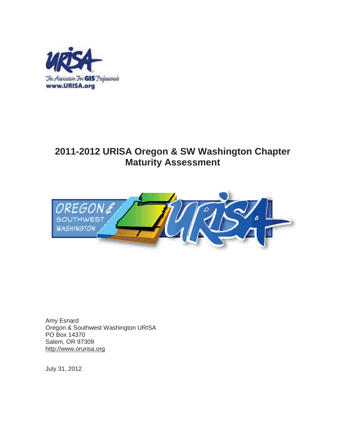

# **2011-2012 URISA Oregon & SW Washington Chapter Maturity Assessment**



Amy Esnard Oregon & Southwest Washington URISA PO Box 14370 Salem, OR 97309 http://www.orurisa.org

July 31, 2012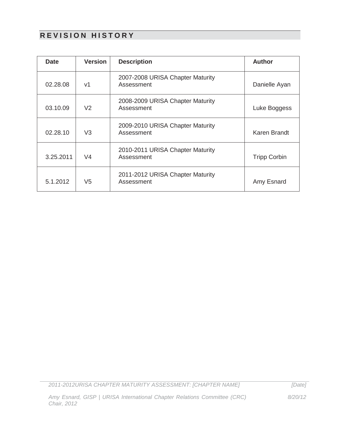### **REVISION HISTORY**

| <b>Date</b> | <b>Version</b> | <b>Description</b>                             | <b>Author</b>       |
|-------------|----------------|------------------------------------------------|---------------------|
| 02.28.08    | v1             | 2007-2008 URISA Chapter Maturity<br>Assessment | Danielle Ayan       |
| 03.10.09    | V <sub>2</sub> | 2008-2009 URISA Chapter Maturity<br>Assessment | Luke Boggess        |
| 02.28.10    | V <sub>3</sub> | 2009-2010 URISA Chapter Maturity<br>Assessment | Karen Brandt        |
| 3.25.2011   | V4             | 2010-2011 URISA Chapter Maturity<br>Assessment | <b>Tripp Corbin</b> |
| 5.1.2012    | V5             | 2011-2012 URISA Chapter Maturity<br>Assessment | Amy Esnard          |

*2011-2012URISA CHAPTER MATURITY ASSESSMENT: [CHAPTER NAME]*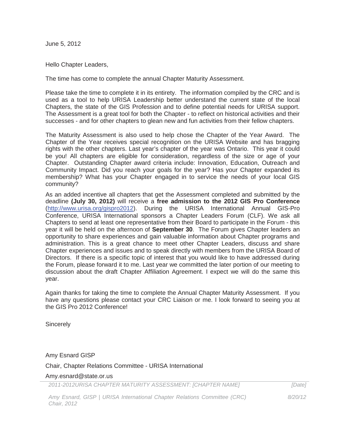June 5, 2012

Hello Chapter Leaders,

The time has come to complete the annual Chapter Maturity Assessment.

Please take the time to complete it in its entirety. The information compiled by the CRC and is used as a tool to help URISA Leadership better understand the current state of the local Chapters, the state of the GIS Profession and to define potential needs for URISA support. The Assessment is a great tool for both the Chapter - to reflect on historical activities and their successes - and for other chapters to glean new and fun activities from their fellow chapters.

The Maturity Assessment is also used to help chose the Chapter of the Year Award. The Chapter of the Year receives special recognition on the URISA Website and has bragging rights with the other chapters. Last year's chapter of the year was Ontario. This year it could be you! All chapters are eligible for consideration, regardless of the size or age of your Chapter. Outstanding Chapter award criteria include: Innovation, Education, Outreach and Community Impact. Did you reach your goals for the year? Has your Chapter expanded its membership? What has your Chapter engaged in to service the needs of your local GIS community?

As an added incentive all chapters that get the Assessment completed and submitted by the deadline **(July 30, 2012)** will receive a **free admission to the 2012 GIS Pro Conference**  (http://www.urisa.org/gispro2012). During the URISA International Annual GIS-Pro Conference, URISA International sponsors a Chapter Leaders Forum (CLF). We ask all Chapters to send at least one representative from their Board to participate in the Forum - this year it will be held on the afternoon of **September 30**. The Forum gives Chapter leaders an opportunity to share experiences and gain valuable information about Chapter programs and administration. This is a great chance to meet other Chapter Leaders, discuss and share Chapter experiences and issues and to speak directly with members from the URISA Board of Directors. If there is a specific topic of interest that you would like to have addressed during the Forum, please forward it to me. Last year we committed the later portion of our meeting to discussion about the draft Chapter Affiliation Agreement. I expect we will do the same this year.

Again thanks for taking the time to complete the Annual Chapter Maturity Assessment. If you have any questions please contact your CRC Liaison or me. I look forward to seeing you at the GIS Pro 2012 Conference!

**Sincerely** 

#### Amy Esnard GISP

Chair, Chapter Relations Committee - URISA International

#### Amy.esnard@state.or.us

*2011-2012URISA CHAPTER MATURITY ASSESSMENT: [CHAPTER NAME]*

*Amy Esnard, GISP | URISA International Chapter Relations Committee (CRC) Chair, 2012*

*[Date] 8/20/12*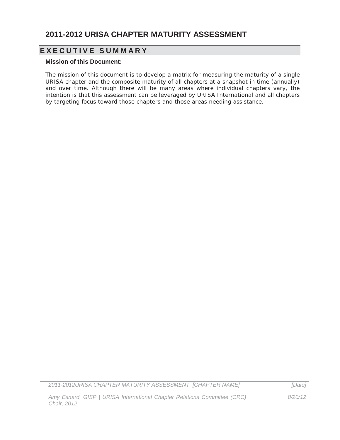### **2011-2012 URISA CHAPTER MATURITY ASSESSMENT**

## **EXECUTIVE SUMMARY**

#### **Mission of this Document:**

The mission of this document is to develop a matrix for measuring the maturity of a single URISA chapter and the composite maturity of all chapters at a snapshot in time (annually) and over time. Although there will be many areas where individual chapters vary, the intention is that this assessment can be leveraged by URISA International and all chapters by targeting focus toward those chapters and those areas needing assistance.

*2011-2012URISA CHAPTER MATURITY ASSESSMENT: [CHAPTER NAME]*

*Amy Esnard, GISP | URISA International Chapter Relations Committee (CRC) Chair, 2012*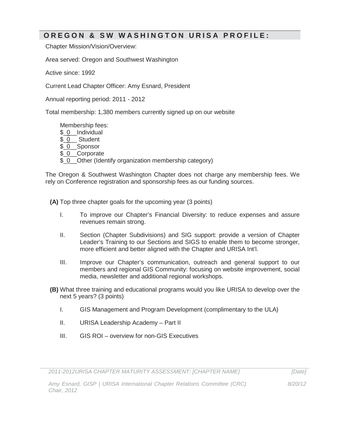#### **OREGON & SW WASHINGTON URISA PROFILE:**

Chapter Mission/Vision/Overview:

Area served: Oregon and Southwest Washington

Active since: 1992

Current Lead Chapter Officer: Amy Esnard, President

Annual reporting period: 2011 - 2012

Total membership: 1,380 members currently signed up on our website

Membership fees:

- \$ 0 Individual
- \$ 0 Student
- \$<u>\_0</u>\_Sponsor
- \$ 0 Corporate
- \$ 0 Other (Identify organization membership category)

The Oregon & Southwest Washington Chapter does not charge any membership fees. We rely on Conference registration and sponsorship fees as our funding sources.

**(A)** Top three chapter goals for the upcoming year (3 points)

- I. To improve our Chapter's Financial Diversity: to reduce expenses and assure revenues remain strong.
- II. Section (Chapter Subdivisions) and SIG support: provide a version of Chapter Leader's Training to our Sections and SIGS to enable them to become stronger, more efficient and better aligned with the Chapter and URISA Int'l.
- III. Improve our Chapter's communication, outreach and general support to our members and regional GIS Community: focusing on website improvement, social media, newsletter and additional regional workshops.
- **(B)** What three training and educational programs would you like URISA to develop over the next 5 years? (3 points)
	- I. GIS Management and Program Development (complimentary to the ULA)
	- II. URISA Leadership Academy Part II
	- III. GIS ROI overview for non-GIS Executives

*[Date] 8/20/12*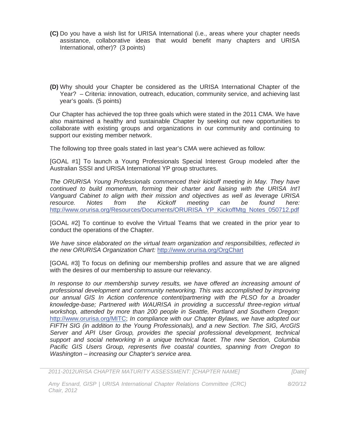- **(C)** Do you have a wish list for URISA International (i.e., areas where your chapter needs assistance, collaborative ideas that would benefit many chapters and URISA International, other)? (3 points)
- **(D)** Why should your Chapter be considered as the URISA International Chapter of the Year? – Criteria: innovation, outreach, education, community service, and achieving last year's goals. (5 points)

Our Chapter has achieved the top three goals which were stated in the 2011 CMA. We have also maintained a healthy and sustainable Chapter by seeking out new opportunities to collaborate with existing groups and organizations in our community and continuing to support our existing member network.

The following top three goals stated in last year's CMA were achieved as follow:

[GOAL #1] To launch a Young Professionals Special Interest Group modeled after the Australian SSSI and URISA International YP group structures.

*The ORURISA Young Professionals commenced their kickoff meeting in May. They have continued to build momentum, forming their charter and liaising with the URISA Int'l Vanguard Cabinet to align with their mission and objectives as well as leverage URISA resource. Notes from the Kickoff meeting can be found here:*  http://www.orurisa.org/Resources/Documents/ORURISA\_YP\_KickoffMtg\_Notes\_050712.pdf

[GOAL #2] To continue to evolve the Virtual Teams that we created in the prior year to conduct the operations of the Chapter.

*We have since elaborated on the virtual team organization and responsibilities, reflected in the new ORURISA Organization Chart:* http://www.orurisa.org/OrgChart

[GOAL #3] To focus on defining our membership profiles and assure that we are aligned with the desires of our membership to assure our relevancy.

*In response to our membership survey results, we have offered an increasing amount of professional development and community networking. This was accomplished by improving our annual GIS In Action conference content/partnering with the PLSO for a broader knowledge-base; Partnered with WAURISA in providing a successful three-region virtual workshop, attended by more than 200 people in Seattle, Portland and Southern Oregon:*  http://www.orurisa.org/MITC; *In compliance with our Chapter Bylaws, we have adopted our FIFTH SIG (in addition to the Young Professionals), and a new Section. The SIG, ArcGIS Server and API User Group, provides the special professional development, technical support and social networking in a unique technical facet. The new Section, Columbia Pacific GIS Users Group, represents five coastal counties, spanning from Oregon to Washington – increasing our Chapter's service area.*

*8/20/12*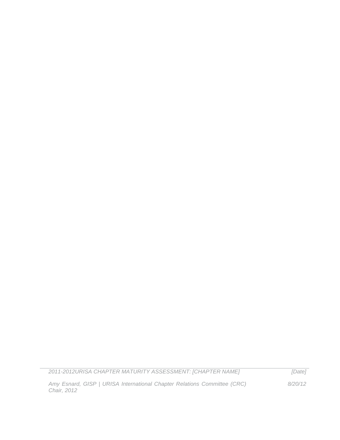*[Date]*

*8/20/12*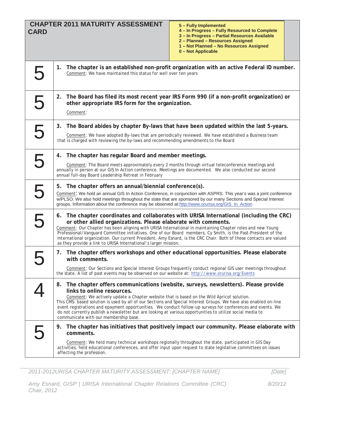| <b>CARD</b> | <b>CHAPTER 2011 MATURITY ASSESSMENT</b>                                                                                                                                                                                                                                                                                                                                                                                                                                                                                                                                                                   | 5 – Fully Implemented<br>4 - In Progress - Fully Resourced to Complete<br>3 - In Progress - Partial Resources Available<br>2 - Planned - Resources Assigned<br>1 - Not Planned - No Resources Assigned<br>0 – Not Applicable |  |  |  |  |
|-------------|-----------------------------------------------------------------------------------------------------------------------------------------------------------------------------------------------------------------------------------------------------------------------------------------------------------------------------------------------------------------------------------------------------------------------------------------------------------------------------------------------------------------------------------------------------------------------------------------------------------|------------------------------------------------------------------------------------------------------------------------------------------------------------------------------------------------------------------------------|--|--|--|--|
| 5           | 1. The chapter is an established non-profit organization with an active Federal ID number.<br>Comment: We have maintained this status for well over ten years                                                                                                                                                                                                                                                                                                                                                                                                                                             |                                                                                                                                                                                                                              |  |  |  |  |
| 5           | 2. The Board has filed its most recent year IRS Form 990 (if a non-profit organization) or<br>other appropriate IRS form for the organization.<br>Comment:                                                                                                                                                                                                                                                                                                                                                                                                                                                |                                                                                                                                                                                                                              |  |  |  |  |
| 5           | 3. The Board abides by chapter By-laws that have been updated within the last 5-years.<br>Comment: We have adopted By-laws that are periodically reviewed. We have established a Business team<br>that is charged with reviewing the by-laws and recommending amendments to the Board                                                                                                                                                                                                                                                                                                                     |                                                                                                                                                                                                                              |  |  |  |  |
| 5           | The chapter has regular Board and member meetings.<br>4.<br>Comment: The Board meets approximately every 2 months through virtual teleconference meetings and<br>annually in person at our GIS In Action conference. Meetings are documented. We also conducted our second<br>annual full-day Board Leadership Retreat in February                                                                                                                                                                                                                                                                        |                                                                                                                                                                                                                              |  |  |  |  |
| 5           | The chapter offers an annual/biennial conference(s).<br>5.<br>Comment: We hold an annual GIS In Action Conference, in conjunction with ASPRS. This year's was a joint conference<br>w/PLSO. We also hold meetings throughout the state that are sponsored by our many Sections and Special Interest<br>groups. Information about the conference may be observed at:http://www.orurisa.org/GIS_In_Action                                                                                                                                                                                                   |                                                                                                                                                                                                                              |  |  |  |  |
| 5           | The chapter coordinates and collaborates with URISA International (including the CRC)<br>6.<br>or other allied organizations. Please elaborate with comments.<br>Comment: Our Chapter has been aligning with URISA International in maintaining Chapter roles and new Young<br>Professional/Vanguard Committee initiatives. One of our Board members, Cy Smith, is the Past-President of the<br>International organization. Our current President, Amy Esnard, is the CRC Chair. Both of these contacts are valued<br>as they provide a link to URISA International's larger mission.                     |                                                                                                                                                                                                                              |  |  |  |  |
|             | 7. The chapter offers workshops and other educational opportunities. Please elaborate<br>with comments.<br>Comment: Our Sections and Special Interest Groups frequently conduct regional GIS user meetings throughout<br>the state. A list of past events may be observed on our website at: http://www.orurisa.org/Events                                                                                                                                                                                                                                                                                |                                                                                                                                                                                                                              |  |  |  |  |
|             | 8. The chapter offers communications (website, surveys, newsletters). Please provide<br>links to online resources.<br>Comment: We actively update a Chapter website that is based on the Wild Apricot solution.<br>This CMS- based solution is used by all of our Sections and Special Interest Groups. We have also enabled on-line<br>event registrations and epayment opportunities. We conduct follow-up surveys for conferences and events. We<br>do not currently publish a newsletter but are looking at various opportunities to utilize social media to<br>communicate with our membership base. |                                                                                                                                                                                                                              |  |  |  |  |
|             | 9.<br>comments.<br>Comment: We held many technical workshops regionally throughout the state, participated in GIS Day<br>activities, held educational conferences, and offer input upon request to state legislative committees on issues<br>affecting the profession.                                                                                                                                                                                                                                                                                                                                    | The chapter has initiatives that positively impact our community. Please elaborate with                                                                                                                                      |  |  |  |  |

*2011-2012URISA CHAPTER MATURITY ASSESSMENT: [CHAPTER NAME]*

*[Date]*

*8/20/12*

*Amy Esnard, GISP | URISA International Chapter Relations Committee (CRC) Chair, 2012*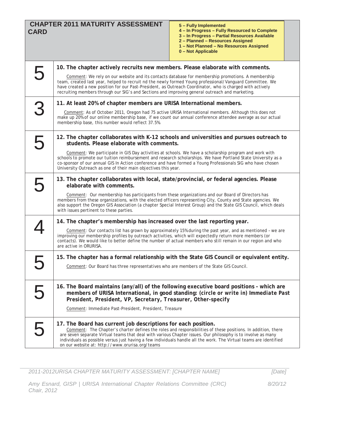| <b>CARD</b> | <b>CHAPTER 2011 MATURITY ASSESSMENT</b>                                                                                                                                                                                                                                                                                                                                                                                       | 5 - Fully Implemented<br>4 - In Progress - Fully Resourced to Complete<br>3 - In Progress - Partial Resources Available<br>2 - Planned - Resources Assigned<br>1 - Not Planned - No Resources Assigned<br>0 - Not Applicable       |  |  |  |
|-------------|-------------------------------------------------------------------------------------------------------------------------------------------------------------------------------------------------------------------------------------------------------------------------------------------------------------------------------------------------------------------------------------------------------------------------------|------------------------------------------------------------------------------------------------------------------------------------------------------------------------------------------------------------------------------------|--|--|--|
|             | 10. The chapter actively recruits new members. Please elaborate with comments.                                                                                                                                                                                                                                                                                                                                                |                                                                                                                                                                                                                                    |  |  |  |
| 5           | Comment: We rely on our website and its contacts database for membership promotions. A membership<br>team, created last year, helped to recruit nd the newly formed Young professional/Vanguard Committee. We<br>have created a new position for our Past-President, as Outreach Coordinator, who is charged with actively<br>recruiting members through our SIG's and Sections and improving general outreach and marketing. |                                                                                                                                                                                                                                    |  |  |  |
|             | 11. At least 20% of chapter members are URISA International members.                                                                                                                                                                                                                                                                                                                                                          |                                                                                                                                                                                                                                    |  |  |  |
| 3           | Comment: As of October 2011, Oregon had 75 active URISA International members. Although this does not<br>make up 20% of our online membership base, if we count our annual conference attendee average as our actual<br>membership base, this number would reflect 37.5%.                                                                                                                                                     |                                                                                                                                                                                                                                    |  |  |  |
| 5           | students. Please elaborate with comments.                                                                                                                                                                                                                                                                                                                                                                                     | 12. The chapter collaborates with K-12 schools and universities and pursues outreach to                                                                                                                                            |  |  |  |
|             | Comment: We participate in GIS Day activities at schools. We have a scholarship program and work with<br>schools to promote our tuition reimbursement and research scholarships. We have Portland State University as a<br>co-sponsor of our annual GIS In Action conference and have formed a Young Professionals SIG who have chosen<br>University Outreach as one of their main objectives this year.                      |                                                                                                                                                                                                                                    |  |  |  |
|             | 13. The chapter collaborates with local, state/provincial, or federal agencies. Please<br>elaborate with comments.                                                                                                                                                                                                                                                                                                            |                                                                                                                                                                                                                                    |  |  |  |
|             | Comment: Our membership has participants from these organizations and our Board of Directors has<br>members from these organizations, with the elected officers representing City, County and State agencies. We<br>with issues pertinent to these parties.                                                                                                                                                                   | also support the Oregon GIS Association (a chapter Special Interest Group) and the State GIS Council, which deals                                                                                                                  |  |  |  |
|             | 14. The chapter's membership has increased over the last reporting year.                                                                                                                                                                                                                                                                                                                                                      |                                                                                                                                                                                                                                    |  |  |  |
|             | Comment: Our contacts list has grown by approximately 15% during the past year, and as mentioned - we are<br>improving our membership profiles by outreach activities, which will expectedly return more members (or<br>contacts). We would like to better define the number of actual members who still remain in our region and who<br>are active in ORURISA.                                                               |                                                                                                                                                                                                                                    |  |  |  |
|             |                                                                                                                                                                                                                                                                                                                                                                                                                               | 15. The chapter has a formal relationship with the State GIS Council or equivalent entity.                                                                                                                                         |  |  |  |
|             | Comment: Our Board has three representatives who are members of the State GIS Council.                                                                                                                                                                                                                                                                                                                                        |                                                                                                                                                                                                                                    |  |  |  |
| 5           | President, President, VP, Secretary, Treasurer, Other-specify<br>Comment: Immediate Past-President, President, Treasure                                                                                                                                                                                                                                                                                                       | 16. The Board maintains (any/all) of the following executive board positions - which are<br>members of URISA International, in good standing: (circle or write in) Immediate Past                                                  |  |  |  |
|             |                                                                                                                                                                                                                                                                                                                                                                                                                               |                                                                                                                                                                                                                                    |  |  |  |
|             | 17. The Board has current job descriptions for each position.<br>are seven separate Virtual teams that deal with various Chapter issues. Our philosophy is to involve as many<br>on our website at: http://www.orurisa.org/teams                                                                                                                                                                                              | Comment: The Chapter's charter defines the roles and responsibilities of these positions. In addition, there<br>individuals as possible versus just having a few individuals handle all the work. The Virtual teams are identified |  |  |  |

*2011-2012URISA CHAPTER MATURITY ASSESSMENT: [CHAPTER NAME]*

*8/20/12*

*Amy Esnard, GISP | URISA International Chapter Relations Committee (CRC) Chair, 2012*